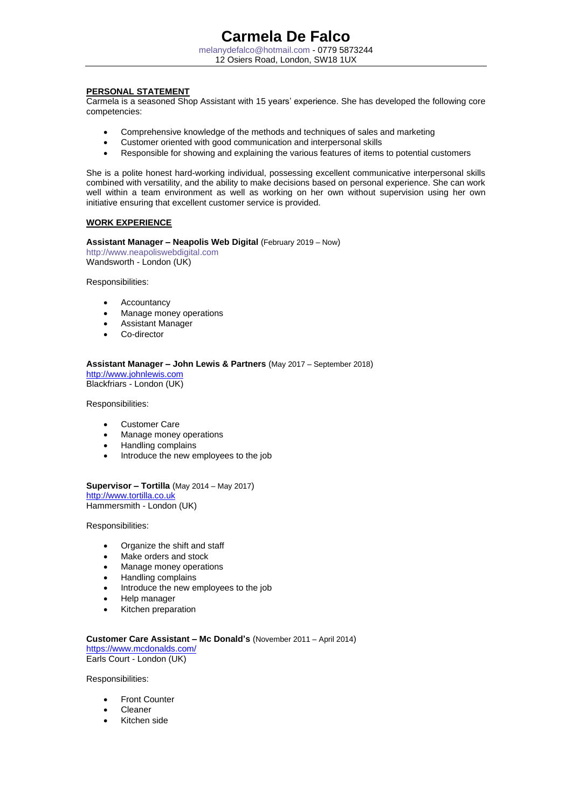## **PERSONAL STATEMENT**

Carmela is a seasoned Shop Assistant with 15 years' experience. She has developed the following core competencies:

- Comprehensive knowledge of the methods and techniques of sales and marketing
- Customer oriented with good communication and interpersonal skills
- Responsible for showing and explaining the various features of items to potential customers

She is a polite honest hard-working individual, possessing excellent communicative interpersonal skills combined with versatility, and the ability to make decisions based on personal experience. She can work well within a team environment as well as working on her own without supervision using her own initiative ensuring that excellent customer service is provided.

## **WORK EXPERIENCE**

**Assistant Manager – Neapolis Web Digital** (February 2019 – Now)

http://www.neapoliswebdigital.com Wandsworth - London (UK)

Responsibilities:

- **Accountancy**
- Manage money operations
- Assistant Manager
- Co-director

## **Assistant Manager – John Lewis & Partners** (May 2017 – September 2018)

[http://www.johnlewis.com](http://www.johnlewis.com/) Blackfriars - London (UK)

Responsibilities:

- Customer Care
- Manage money operations
- Handling complains
- Introduce the new employees to the job

**Supervisor – Tortilla** (May 2014 – May 2017) [http://www.tortilla.co.uk](http://www.tortilla.co.ukm/) Hammersmith - London (UK)

Responsibilities:

- Organize the shift and staff
- Make orders and stock
- Manage money operations
- Handling complains
- Introduce the new employees to the job
- Help manager
- Kitchen preparation

**Customer Care Assistant – Mc Donald's** (November 2011 – April 2014) <https://www.mcdonalds.com/> Earls Court - London (UK)

Responsibilities:

- **Front Counter**
- Cleaner
- Kitchen side